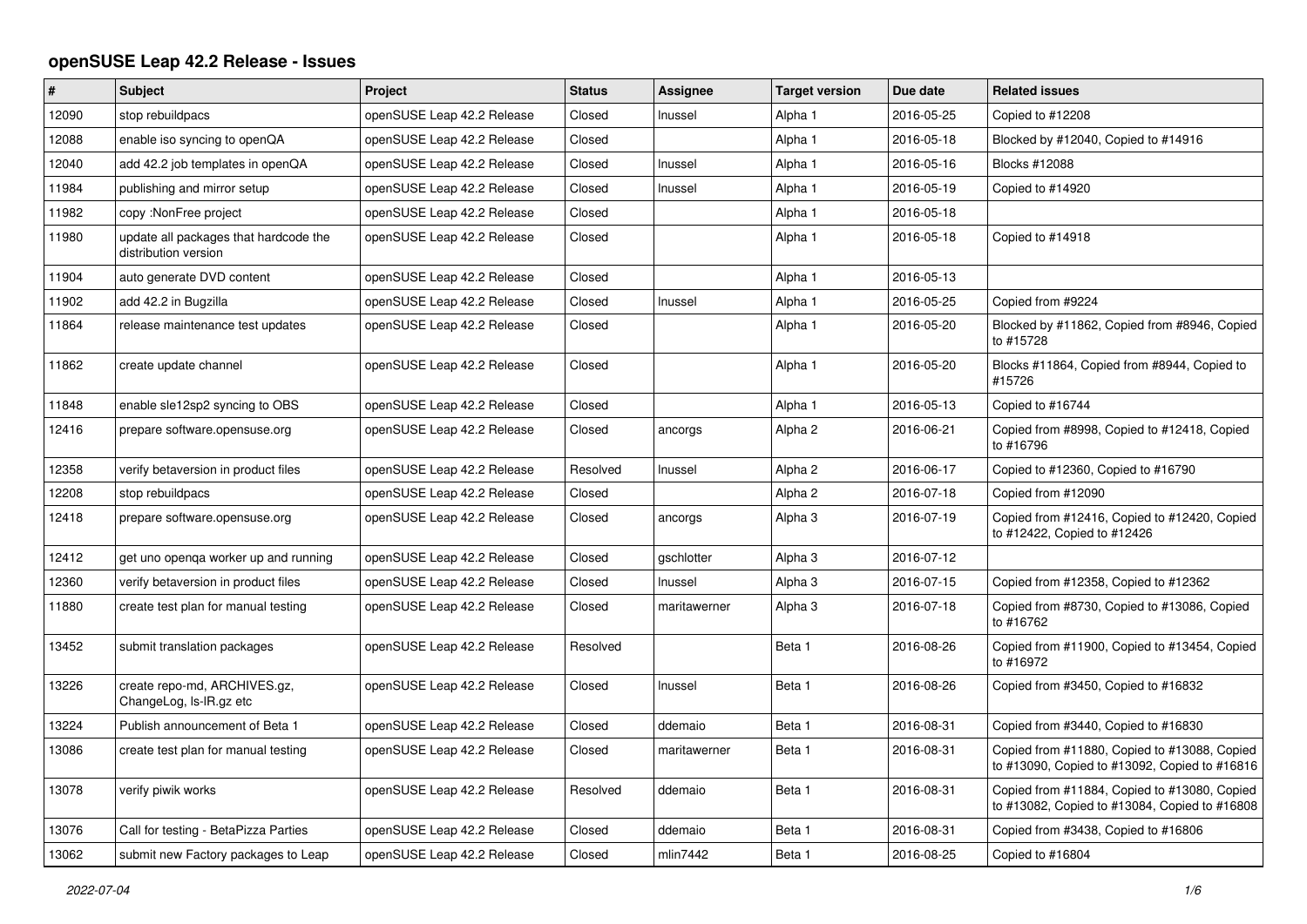## **openSUSE Leap 42.2 Release - Issues**

| #     | <b>Subject</b>                                                | Project                    | <b>Status</b> | <b>Assignee</b> | <b>Target version</b> | Due date   | <b>Related issues</b>                                                                         |
|-------|---------------------------------------------------------------|----------------------------|---------------|-----------------|-----------------------|------------|-----------------------------------------------------------------------------------------------|
| 12090 | stop rebuildpacs                                              | openSUSE Leap 42.2 Release | Closed        | Inussel         | Alpha 1               | 2016-05-25 | Copied to #12208                                                                              |
| 12088 | enable iso syncing to openQA                                  | openSUSE Leap 42.2 Release | Closed        |                 | Alpha 1               | 2016-05-18 | Blocked by #12040, Copied to #14916                                                           |
| 12040 | add 42.2 job templates in openQA                              | openSUSE Leap 42.2 Release | Closed        | Inussel         | Alpha 1               | 2016-05-16 | Blocks #12088                                                                                 |
| 11984 | publishing and mirror setup                                   | openSUSE Leap 42.2 Release | Closed        | Inussel         | Alpha 1               | 2016-05-19 | Copied to #14920                                                                              |
| 11982 | copy: NonFree project                                         | openSUSE Leap 42.2 Release | Closed        |                 | Alpha 1               | 2016-05-18 |                                                                                               |
| 11980 | update all packages that hardcode the<br>distribution version | openSUSE Leap 42.2 Release | Closed        |                 | Alpha 1               | 2016-05-18 | Copied to #14918                                                                              |
| 11904 | auto generate DVD content                                     | openSUSE Leap 42.2 Release | Closed        |                 | Alpha 1               | 2016-05-13 |                                                                                               |
| 11902 | add 42.2 in Bugzilla                                          | openSUSE Leap 42.2 Release | Closed        | Inussel         | Alpha 1               | 2016-05-25 | Copied from #9224                                                                             |
| 11864 | release maintenance test updates                              | openSUSE Leap 42.2 Release | Closed        |                 | Alpha 1               | 2016-05-20 | Blocked by #11862, Copied from #8946, Copied<br>to #15728                                     |
| 11862 | create update channel                                         | openSUSE Leap 42.2 Release | Closed        |                 | Alpha 1               | 2016-05-20 | Blocks #11864, Copied from #8944, Copied to<br>#15726                                         |
| 11848 | enable sle12sp2 syncing to OBS                                | openSUSE Leap 42.2 Release | Closed        |                 | Alpha 1               | 2016-05-13 | Copied to #16744                                                                              |
| 12416 | prepare software.opensuse.org                                 | openSUSE Leap 42.2 Release | Closed        | ancorgs         | Alpha 2               | 2016-06-21 | Copied from #8998, Copied to #12418, Copied<br>to #16796                                      |
| 12358 | verify betaversion in product files                           | openSUSE Leap 42.2 Release | Resolved      | Inussel         | Alpha 2               | 2016-06-17 | Copied to #12360, Copied to #16790                                                            |
| 12208 | stop rebuildpacs                                              | openSUSE Leap 42.2 Release | Closed        |                 | Alpha 2               | 2016-07-18 | Copied from #12090                                                                            |
| 12418 | prepare software.opensuse.org                                 | openSUSE Leap 42.2 Release | Closed        | ancorgs         | Alpha <sub>3</sub>    | 2016-07-19 | Copied from #12416, Copied to #12420, Copied<br>to #12422, Copied to #12426                   |
| 12412 | get uno openga worker up and running                          | openSUSE Leap 42.2 Release | Closed        | gschlotter      | Alpha <sub>3</sub>    | 2016-07-12 |                                                                                               |
| 12360 | verify betaversion in product files                           | openSUSE Leap 42.2 Release | Closed        | Inussel         | Alpha 3               | 2016-07-15 | Copied from #12358, Copied to #12362                                                          |
| 11880 | create test plan for manual testing                           | openSUSE Leap 42.2 Release | Closed        | maritawerner    | Alpha 3               | 2016-07-18 | Copied from #8730, Copied to #13086, Copied<br>to #16762                                      |
| 13452 | submit translation packages                                   | openSUSE Leap 42.2 Release | Resolved      |                 | Beta 1                | 2016-08-26 | Copied from #11900, Copied to #13454, Copied<br>to #16972                                     |
| 13226 | create repo-md, ARCHIVES.gz,<br>ChangeLog, Is-IR.gz etc       | openSUSE Leap 42.2 Release | Closed        | Inussel         | Beta 1                | 2016-08-26 | Copied from #3450, Copied to #16832                                                           |
| 13224 | Publish announcement of Beta 1                                | openSUSE Leap 42.2 Release | Closed        | ddemaio         | Beta 1                | 2016-08-31 | Copied from #3440, Copied to #16830                                                           |
| 13086 | create test plan for manual testing                           | openSUSE Leap 42.2 Release | Closed        | maritawerner    | Beta 1                | 2016-08-31 | Copied from #11880, Copied to #13088, Copied<br>to #13090, Copied to #13092, Copied to #16816 |
| 13078 | verify piwik works                                            | openSUSE Leap 42.2 Release | Resolved      | ddemaio         | Beta 1                | 2016-08-31 | Copied from #11884, Copied to #13080, Copied<br>to #13082, Copied to #13084, Copied to #16808 |
| 13076 | Call for testing - BetaPizza Parties                          | openSUSE Leap 42.2 Release | Closed        | ddemaio         | Beta 1                | 2016-08-31 | Copied from #3438, Copied to #16806                                                           |
| 13062 | submit new Factory packages to Leap                           | openSUSE Leap 42.2 Release | Closed        | mlin7442        | Beta 1                | 2016-08-25 | Copied to #16804                                                                              |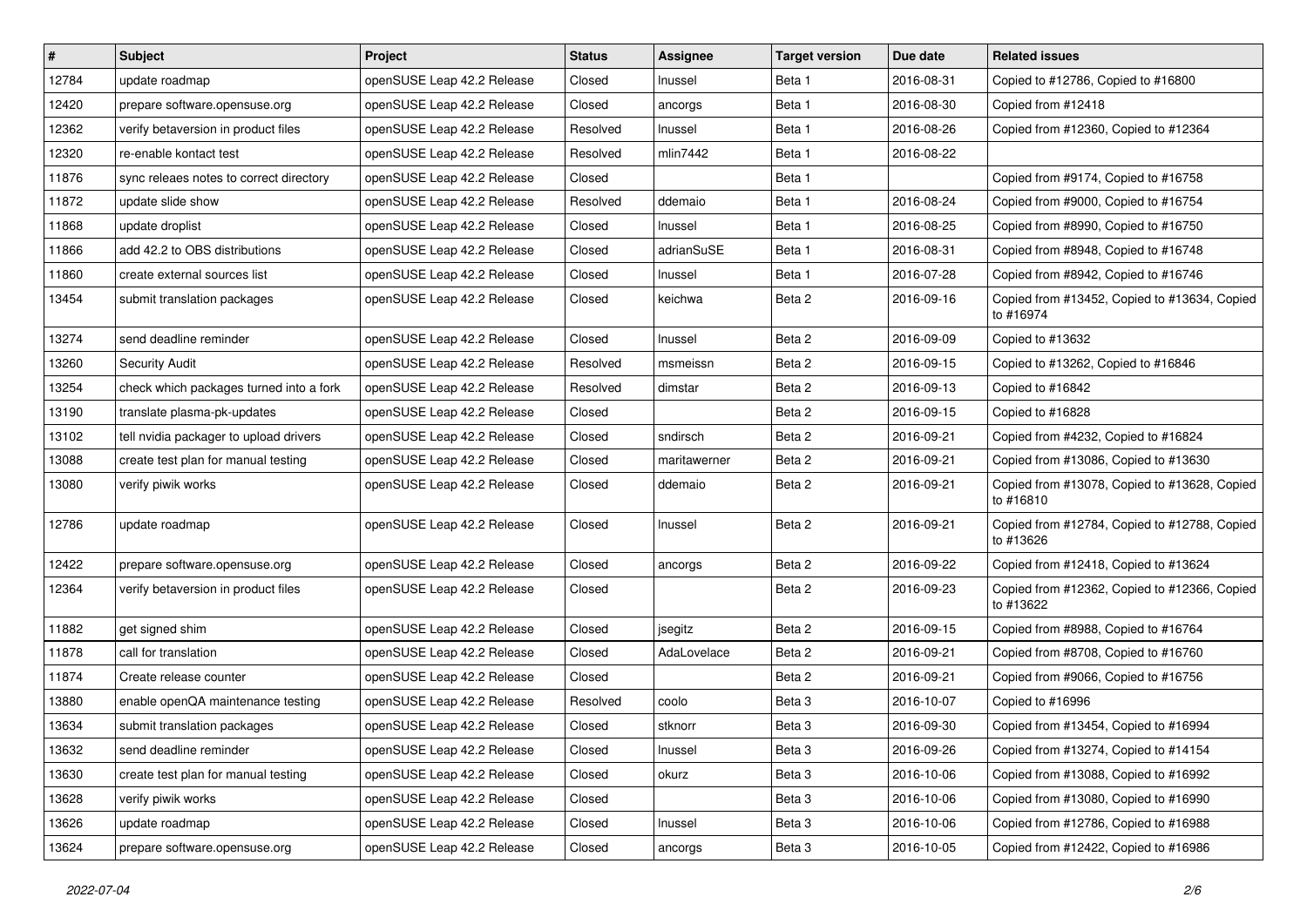| $\vert$ # | Subject                                 | Project                    | <b>Status</b> | Assignee     | <b>Target version</b> | Due date   | <b>Related issues</b>                                     |
|-----------|-----------------------------------------|----------------------------|---------------|--------------|-----------------------|------------|-----------------------------------------------------------|
| 12784     | update roadmap                          | openSUSE Leap 42.2 Release | Closed        | Inussel      | Beta 1                | 2016-08-31 | Copied to #12786, Copied to #16800                        |
| 12420     | prepare software.opensuse.org           | openSUSE Leap 42.2 Release | Closed        | ancorgs      | Beta 1                | 2016-08-30 | Copied from #12418                                        |
| 12362     | verify betaversion in product files     | openSUSE Leap 42.2 Release | Resolved      | Inussel      | Beta 1                | 2016-08-26 | Copied from #12360, Copied to #12364                      |
| 12320     | re-enable kontact test                  | openSUSE Leap 42.2 Release | Resolved      | mlin7442     | Beta 1                | 2016-08-22 |                                                           |
| 11876     | sync releaes notes to correct directory | openSUSE Leap 42.2 Release | Closed        |              | Beta 1                |            | Copied from #9174, Copied to #16758                       |
| 11872     | update slide show                       | openSUSE Leap 42.2 Release | Resolved      | ddemaio      | Beta 1                | 2016-08-24 | Copied from #9000, Copied to #16754                       |
| 11868     | update droplist                         | openSUSE Leap 42.2 Release | Closed        | Inussel      | Beta 1                | 2016-08-25 | Copied from #8990, Copied to #16750                       |
| 11866     | add 42.2 to OBS distributions           | openSUSE Leap 42.2 Release | Closed        | adrianSuSE   | Beta 1                | 2016-08-31 | Copied from #8948, Copied to #16748                       |
| 11860     | create external sources list            | openSUSE Leap 42.2 Release | Closed        | Inussel      | Beta 1                | 2016-07-28 | Copied from #8942, Copied to #16746                       |
| 13454     | submit translation packages             | openSUSE Leap 42.2 Release | Closed        | keichwa      | Beta 2                | 2016-09-16 | Copied from #13452, Copied to #13634, Copied<br>to #16974 |
| 13274     | send deadline reminder                  | openSUSE Leap 42.2 Release | Closed        | Inussel      | Beta 2                | 2016-09-09 | Copied to #13632                                          |
| 13260     | <b>Security Audit</b>                   | openSUSE Leap 42.2 Release | Resolved      | msmeissn     | Beta 2                | 2016-09-15 | Copied to #13262, Copied to #16846                        |
| 13254     | check which packages turned into a fork | openSUSE Leap 42.2 Release | Resolved      | dimstar      | Beta 2                | 2016-09-13 | Copied to #16842                                          |
| 13190     | translate plasma-pk-updates             | openSUSE Leap 42.2 Release | Closed        |              | Beta 2                | 2016-09-15 | Copied to #16828                                          |
| 13102     | tell nvidia packager to upload drivers  | openSUSE Leap 42.2 Release | Closed        | sndirsch     | Beta 2                | 2016-09-21 | Copied from #4232, Copied to #16824                       |
| 13088     | create test plan for manual testing     | openSUSE Leap 42.2 Release | Closed        | maritawerner | Beta 2                | 2016-09-21 | Copied from #13086, Copied to #13630                      |
| 13080     | verify piwik works                      | openSUSE Leap 42.2 Release | Closed        | ddemaio      | Beta 2                | 2016-09-21 | Copied from #13078, Copied to #13628, Copied<br>to #16810 |
| 12786     | update roadmap                          | openSUSE Leap 42.2 Release | Closed        | Inussel      | Beta 2                | 2016-09-21 | Copied from #12784, Copied to #12788, Copied<br>to #13626 |
| 12422     | prepare software.opensuse.org           | openSUSE Leap 42.2 Release | Closed        | ancorgs      | Beta 2                | 2016-09-22 | Copied from #12418, Copied to #13624                      |
| 12364     | verify betaversion in product files     | openSUSE Leap 42.2 Release | Closed        |              | Beta 2                | 2016-09-23 | Copied from #12362, Copied to #12366, Copied<br>to #13622 |
| 11882     | get signed shim                         | openSUSE Leap 42.2 Release | Closed        | jsegitz      | Beta 2                | 2016-09-15 | Copied from #8988, Copied to #16764                       |
| 11878     | call for translation                    | openSUSE Leap 42.2 Release | Closed        | AdaLovelace  | Beta 2                | 2016-09-21 | Copied from #8708, Copied to #16760                       |
| 11874     | Create release counter                  | openSUSE Leap 42.2 Release | Closed        |              | Beta 2                | 2016-09-21 | Copied from #9066, Copied to #16756                       |
| 13880     | enable openQA maintenance testing       | openSUSE Leap 42.2 Release | Resolved      | coolo        | Beta 3                | 2016-10-07 | Copied to #16996                                          |
| 13634     | submit translation packages             | openSUSE Leap 42.2 Release | Closed        | stknorr      | Beta <sub>3</sub>     | 2016-09-30 | Copied from #13454, Copied to #16994                      |
| 13632     | send deadline reminder                  | openSUSE Leap 42.2 Release | Closed        | Inussel      | Beta 3                | 2016-09-26 | Copied from #13274, Copied to #14154                      |
| 13630     | create test plan for manual testing     | openSUSE Leap 42.2 Release | Closed        | okurz        | Beta 3                | 2016-10-06 | Copied from #13088, Copied to #16992                      |
| 13628     | verify piwik works                      | openSUSE Leap 42.2 Release | Closed        |              | Beta 3                | 2016-10-06 | Copied from #13080, Copied to #16990                      |
| 13626     | update roadmap                          | openSUSE Leap 42.2 Release | Closed        | Inussel      | Beta 3                | 2016-10-06 | Copied from #12786, Copied to #16988                      |
| 13624     | prepare software.opensuse.org           | openSUSE Leap 42.2 Release | Closed        | ancorgs      | Beta 3                | 2016-10-05 | Copied from #12422, Copied to #16986                      |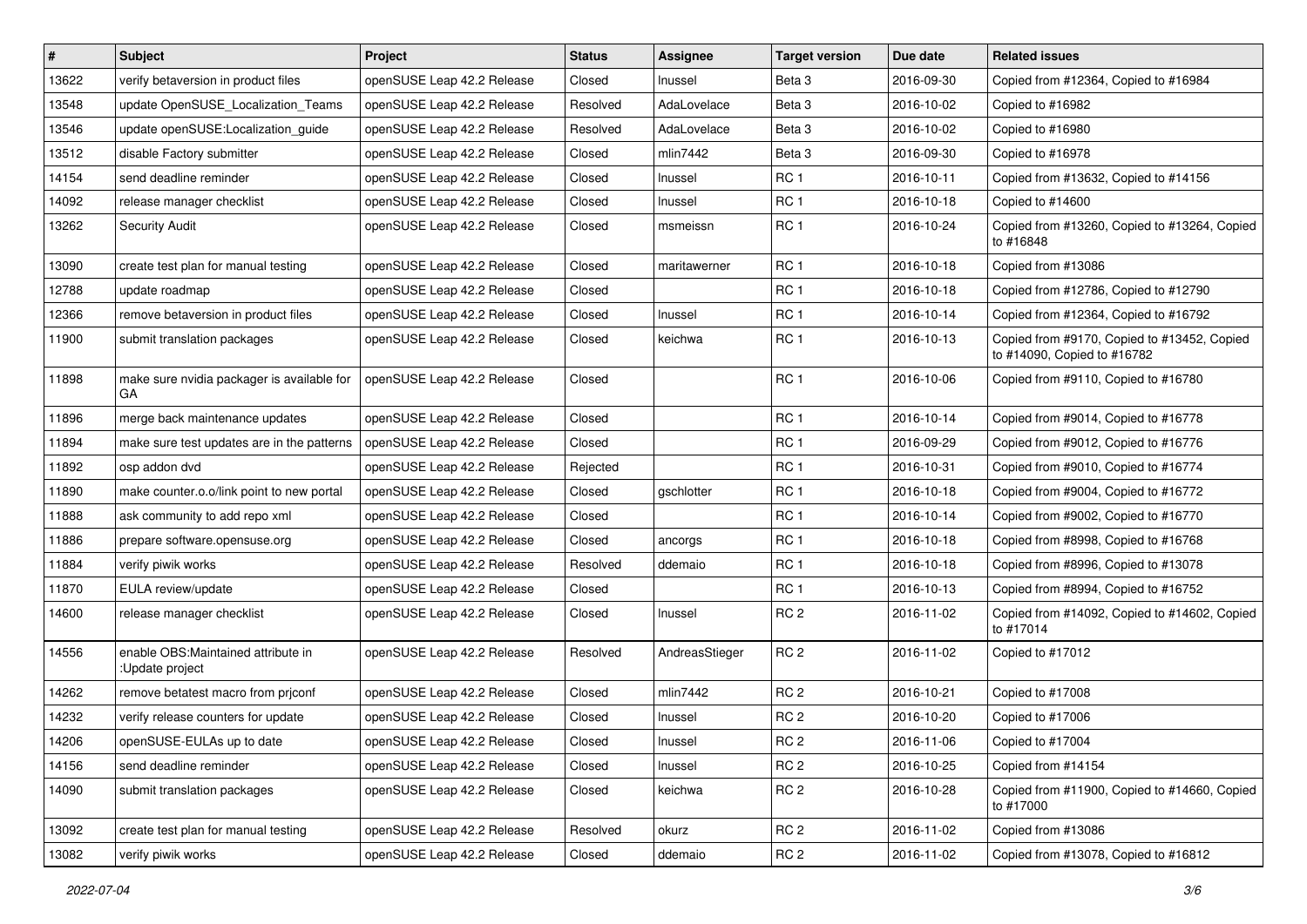| $\vert$ # | <b>Subject</b>                                         | Project                    | <b>Status</b> | <b>Assignee</b> | <b>Target version</b> | Due date   | <b>Related issues</b>                                                      |
|-----------|--------------------------------------------------------|----------------------------|---------------|-----------------|-----------------------|------------|----------------------------------------------------------------------------|
| 13622     | verify betaversion in product files                    | openSUSE Leap 42.2 Release | Closed        | Inussel         | Beta 3                | 2016-09-30 | Copied from #12364, Copied to #16984                                       |
| 13548     | update OpenSUSE_Localization_Teams                     | openSUSE Leap 42.2 Release | Resolved      | AdaLovelace     | Beta <sub>3</sub>     | 2016-10-02 | Copied to #16982                                                           |
| 13546     | update openSUSE:Localization quide                     | openSUSE Leap 42.2 Release | Resolved      | AdaLovelace     | Beta 3                | 2016-10-02 | Copied to #16980                                                           |
| 13512     | disable Factory submitter                              | openSUSE Leap 42.2 Release | Closed        | mlin7442        | Beta 3                | 2016-09-30 | Copied to #16978                                                           |
| 14154     | send deadline reminder                                 | openSUSE Leap 42.2 Release | Closed        | Inussel         | RC <sub>1</sub>       | 2016-10-11 | Copied from #13632, Copied to #14156                                       |
| 14092     | release manager checklist                              | openSUSE Leap 42.2 Release | Closed        | Inussel         | RC <sub>1</sub>       | 2016-10-18 | Copied to #14600                                                           |
| 13262     | <b>Security Audit</b>                                  | openSUSE Leap 42.2 Release | Closed        | msmeissn        | RC <sub>1</sub>       | 2016-10-24 | Copied from #13260, Copied to #13264, Copied<br>to #16848                  |
| 13090     | create test plan for manual testing                    | openSUSE Leap 42.2 Release | Closed        | maritawerner    | RC <sub>1</sub>       | 2016-10-18 | Copied from #13086                                                         |
| 12788     | update roadmap                                         | openSUSE Leap 42.2 Release | Closed        |                 | RC <sub>1</sub>       | 2016-10-18 | Copied from #12786, Copied to #12790                                       |
| 12366     | remove betaversion in product files                    | openSUSE Leap 42.2 Release | Closed        | Inussel         | RC <sub>1</sub>       | 2016-10-14 | Copied from #12364, Copied to #16792                                       |
| 11900     | submit translation packages                            | openSUSE Leap 42.2 Release | Closed        | keichwa         | RC <sub>1</sub>       | 2016-10-13 | Copied from #9170, Copied to #13452, Copied<br>to #14090, Copied to #16782 |
| 11898     | make sure nvidia packager is available for<br>GA       | openSUSE Leap 42.2 Release | Closed        |                 | RC <sub>1</sub>       | 2016-10-06 | Copied from #9110, Copied to #16780                                        |
| 11896     | merge back maintenance updates                         | openSUSE Leap 42.2 Release | Closed        |                 | RC <sub>1</sub>       | 2016-10-14 | Copied from #9014, Copied to #16778                                        |
| 11894     | make sure test updates are in the patterns             | openSUSE Leap 42.2 Release | Closed        |                 | RC <sub>1</sub>       | 2016-09-29 | Copied from #9012, Copied to #16776                                        |
| 11892     | osp addon dvd                                          | openSUSE Leap 42.2 Release | Rejected      |                 | RC <sub>1</sub>       | 2016-10-31 | Copied from #9010, Copied to #16774                                        |
| 11890     | make counter.o.o/link point to new portal              | openSUSE Leap 42.2 Release | Closed        | gschlotter      | RC <sub>1</sub>       | 2016-10-18 | Copied from #9004, Copied to #16772                                        |
| 11888     | ask community to add repo xml                          | openSUSE Leap 42.2 Release | Closed        |                 | RC <sub>1</sub>       | 2016-10-14 | Copied from #9002, Copied to #16770                                        |
| 11886     | prepare software.opensuse.org                          | openSUSE Leap 42.2 Release | Closed        | ancorgs         | RC <sub>1</sub>       | 2016-10-18 | Copied from #8998, Copied to #16768                                        |
| 11884     | verify piwik works                                     | openSUSE Leap 42.2 Release | Resolved      | ddemaio         | RC <sub>1</sub>       | 2016-10-18 | Copied from #8996, Copied to #13078                                        |
| 11870     | EULA review/update                                     | openSUSE Leap 42.2 Release | Closed        |                 | RC <sub>1</sub>       | 2016-10-13 | Copied from #8994, Copied to #16752                                        |
| 14600     | release manager checklist                              | openSUSE Leap 42.2 Release | Closed        | Inussel         | RC <sub>2</sub>       | 2016-11-02 | Copied from #14092, Copied to #14602, Copied<br>to #17014                  |
| 14556     | enable OBS: Maintained attribute in<br>:Update project | openSUSE Leap 42.2 Release | Resolved      | AndreasStieger  | RC <sub>2</sub>       | 2016-11-02 | Copied to #17012                                                           |
| 14262     | remove betatest macro from priconf                     | openSUSE Leap 42.2 Release | Closed        | mlin7442        | RC <sub>2</sub>       | 2016-10-21 | Copied to #17008                                                           |
| 14232     | verify release counters for update                     | openSUSE Leap 42.2 Release | Closed        | Inussel         | RC <sub>2</sub>       | 2016-10-20 | Copied to #17006                                                           |
| 14206     | openSUSE-EULAs up to date                              | openSUSE Leap 42.2 Release | Closed        | Inussel         | RC 2                  | 2016-11-06 | Copied to #17004                                                           |
| 14156     | send deadline reminder                                 | openSUSE Leap 42.2 Release | Closed        | Inussel         | RC <sub>2</sub>       | 2016-10-25 | Copied from #14154                                                         |
| 14090     | submit translation packages                            | openSUSE Leap 42.2 Release | Closed        | keichwa         | RC <sub>2</sub>       | 2016-10-28 | Copied from #11900, Copied to #14660, Copied<br>to #17000                  |
| 13092     | create test plan for manual testing                    | openSUSE Leap 42.2 Release | Resolved      | okurz           | RC <sub>2</sub>       | 2016-11-02 | Copied from #13086                                                         |
| 13082     | verify piwik works                                     | openSUSE Leap 42.2 Release | Closed        | ddemaio         | RC <sub>2</sub>       | 2016-11-02 | Copied from #13078, Copied to #16812                                       |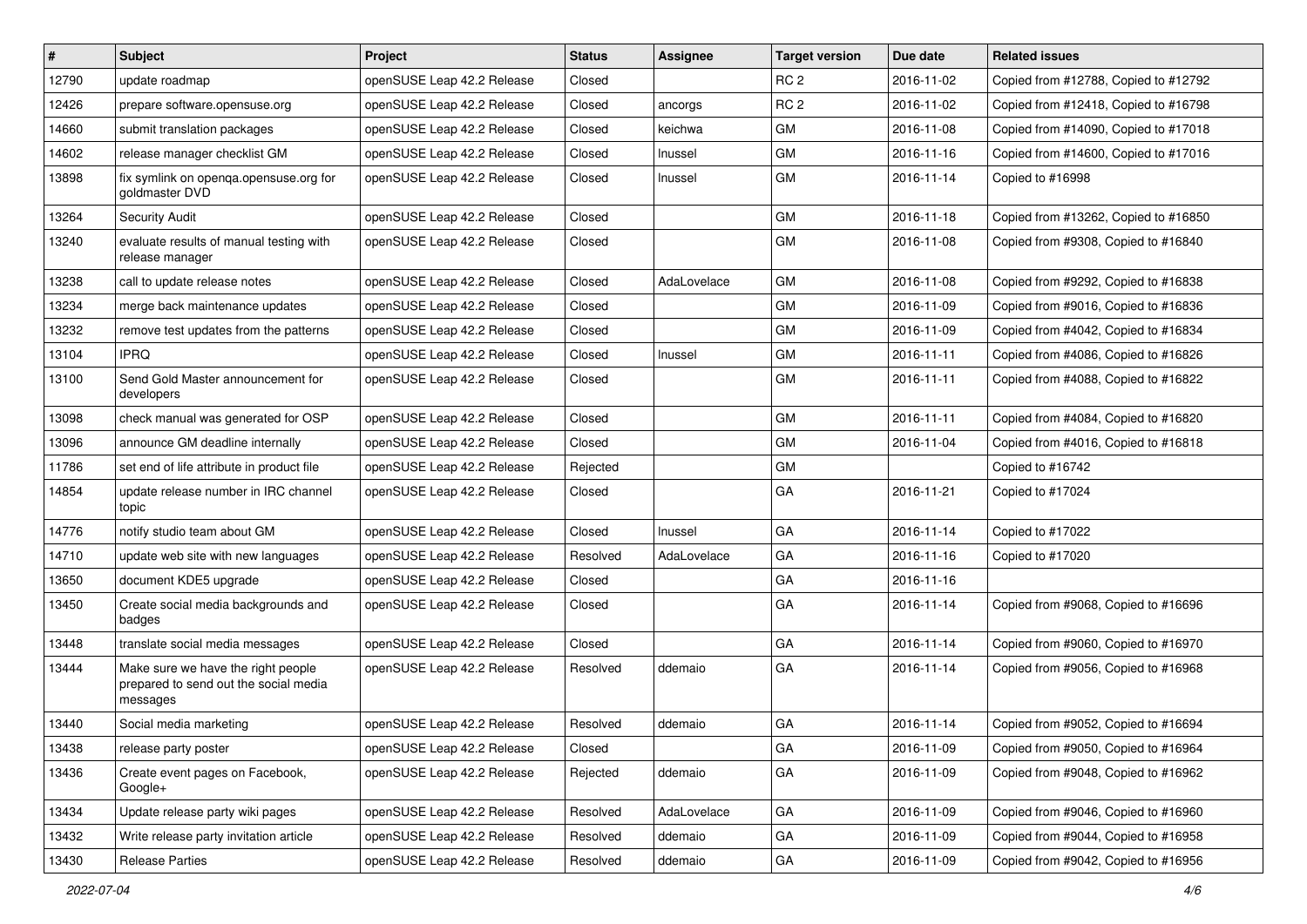| $\vert$ # | Subject                                                                                 | Project                    | <b>Status</b> | Assignee    | <b>Target version</b> | Due date   | <b>Related issues</b>                |
|-----------|-----------------------------------------------------------------------------------------|----------------------------|---------------|-------------|-----------------------|------------|--------------------------------------|
| 12790     | update roadmap                                                                          | openSUSE Leap 42.2 Release | Closed        |             | RC <sub>2</sub>       | 2016-11-02 | Copied from #12788, Copied to #12792 |
| 12426     | prepare software.opensuse.org                                                           | openSUSE Leap 42.2 Release | Closed        | ancorgs     | RC <sub>2</sub>       | 2016-11-02 | Copied from #12418, Copied to #16798 |
| 14660     | submit translation packages                                                             | openSUSE Leap 42.2 Release | Closed        | keichwa     | GM                    | 2016-11-08 | Copied from #14090, Copied to #17018 |
| 14602     | release manager checklist GM                                                            | openSUSE Leap 42.2 Release | Closed        | Inussel     | <b>GM</b>             | 2016-11-16 | Copied from #14600, Copied to #17016 |
| 13898     | fix symlink on openqa.opensuse.org for<br>goldmaster DVD                                | openSUSE Leap 42.2 Release | Closed        | Inussel     | GM                    | 2016-11-14 | Copied to #16998                     |
| 13264     | <b>Security Audit</b>                                                                   | openSUSE Leap 42.2 Release | Closed        |             | GM                    | 2016-11-18 | Copied from #13262, Copied to #16850 |
| 13240     | evaluate results of manual testing with<br>release manager                              | openSUSE Leap 42.2 Release | Closed        |             | GM                    | 2016-11-08 | Copied from #9308, Copied to #16840  |
| 13238     | call to update release notes                                                            | openSUSE Leap 42.2 Release | Closed        | AdaLovelace | GM                    | 2016-11-08 | Copied from #9292, Copied to #16838  |
| 13234     | merge back maintenance updates                                                          | openSUSE Leap 42.2 Release | Closed        |             | GM                    | 2016-11-09 | Copied from #9016, Copied to #16836  |
| 13232     | remove test updates from the patterns                                                   | openSUSE Leap 42.2 Release | Closed        |             | <b>GM</b>             | 2016-11-09 | Copied from #4042, Copied to #16834  |
| 13104     | <b>IPRQ</b>                                                                             | openSUSE Leap 42.2 Release | Closed        | Inussel     | GM                    | 2016-11-11 | Copied from #4086, Copied to #16826  |
| 13100     | Send Gold Master announcement for<br>developers                                         | openSUSE Leap 42.2 Release | Closed        |             | GM                    | 2016-11-11 | Copied from #4088, Copied to #16822  |
| 13098     | check manual was generated for OSP                                                      | openSUSE Leap 42.2 Release | Closed        |             | GM                    | 2016-11-11 | Copied from #4084, Copied to #16820  |
| 13096     | announce GM deadline internally                                                         | openSUSE Leap 42.2 Release | Closed        |             | GM                    | 2016-11-04 | Copied from #4016, Copied to #16818  |
| 11786     | set end of life attribute in product file                                               | openSUSE Leap 42.2 Release | Rejected      |             | GM                    |            | Copied to #16742                     |
| 14854     | update release number in IRC channel<br>topic                                           | openSUSE Leap 42.2 Release | Closed        |             | GA                    | 2016-11-21 | Copied to #17024                     |
| 14776     | notify studio team about GM                                                             | openSUSE Leap 42.2 Release | Closed        | Inussel     | GA                    | 2016-11-14 | Copied to #17022                     |
| 14710     | update web site with new languages                                                      | openSUSE Leap 42.2 Release | Resolved      | AdaLovelace | GA                    | 2016-11-16 | Copied to #17020                     |
| 13650     | document KDE5 upgrade                                                                   | openSUSE Leap 42.2 Release | Closed        |             | GA                    | 2016-11-16 |                                      |
| 13450     | Create social media backgrounds and<br>badges                                           | openSUSE Leap 42.2 Release | Closed        |             | GA                    | 2016-11-14 | Copied from #9068, Copied to #16696  |
| 13448     | translate social media messages                                                         | openSUSE Leap 42.2 Release | Closed        |             | GA                    | 2016-11-14 | Copied from #9060, Copied to #16970  |
| 13444     | Make sure we have the right people<br>prepared to send out the social media<br>messages | openSUSE Leap 42.2 Release | Resolved      | ddemaio     | GA                    | 2016-11-14 | Copied from #9056, Copied to #16968  |
| 13440     | Social media marketing                                                                  | openSUSE Leap 42.2 Release | Resolved      | ddemaio     | GA                    | 2016-11-14 | Copied from #9052, Copied to #16694  |
| 13438     | release party poster                                                                    | openSUSE Leap 42.2 Release | Closed        |             | GA                    | 2016-11-09 | Copied from #9050, Copied to #16964  |
| 13436     | Create event pages on Facebook,<br>Google+                                              | openSUSE Leap 42.2 Release | Rejected      | ddemaio     | GA                    | 2016-11-09 | Copied from #9048, Copied to #16962  |
| 13434     | Update release party wiki pages                                                         | openSUSE Leap 42.2 Release | Resolved      | AdaLovelace | GA                    | 2016-11-09 | Copied from #9046, Copied to #16960  |
| 13432     | Write release party invitation article                                                  | openSUSE Leap 42.2 Release | Resolved      | ddemaio     | GA                    | 2016-11-09 | Copied from #9044, Copied to #16958  |
| 13430     | <b>Release Parties</b>                                                                  | openSUSE Leap 42.2 Release | Resolved      | ddemaio     | GA                    | 2016-11-09 | Copied from #9042, Copied to #16956  |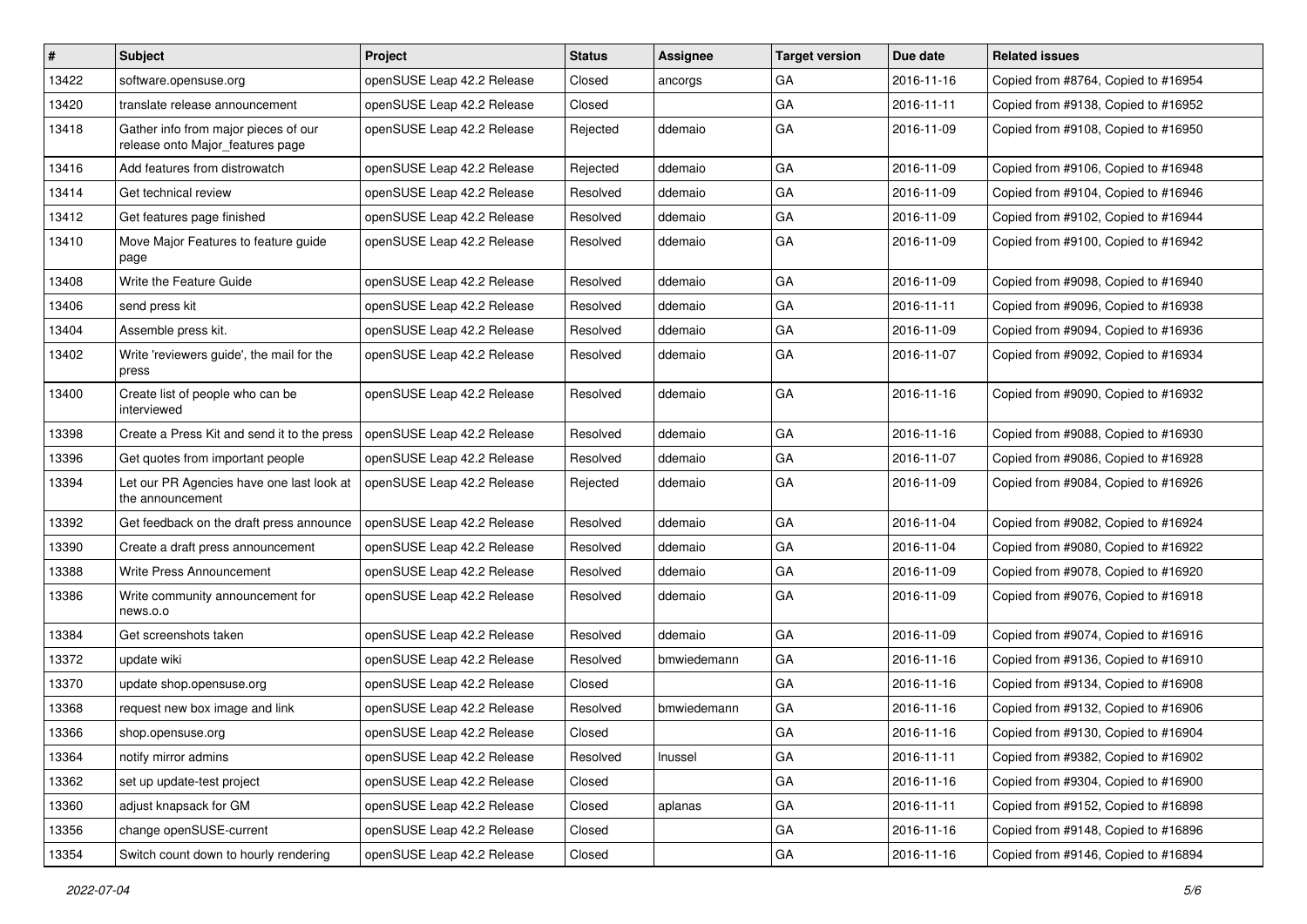| $\vert$ # | Subject                                                                  | <b>Project</b>             | <b>Status</b> | <b>Assignee</b> | <b>Target version</b> | Due date   | <b>Related issues</b>               |
|-----------|--------------------------------------------------------------------------|----------------------------|---------------|-----------------|-----------------------|------------|-------------------------------------|
| 13422     | software.opensuse.org                                                    | openSUSE Leap 42.2 Release | Closed        | ancorgs         | GA                    | 2016-11-16 | Copied from #8764, Copied to #16954 |
| 13420     | translate release announcement                                           | openSUSE Leap 42.2 Release | Closed        |                 | GA                    | 2016-11-11 | Copied from #9138, Copied to #16952 |
| 13418     | Gather info from major pieces of our<br>release onto Major_features page | openSUSE Leap 42.2 Release | Rejected      | ddemaio         | GA                    | 2016-11-09 | Copied from #9108, Copied to #16950 |
| 13416     | Add features from distrowatch                                            | openSUSE Leap 42.2 Release | Rejected      | ddemaio         | GA                    | 2016-11-09 | Copied from #9106, Copied to #16948 |
| 13414     | Get technical review                                                     | openSUSE Leap 42.2 Release | Resolved      | ddemaio         | GA                    | 2016-11-09 | Copied from #9104, Copied to #16946 |
| 13412     | Get features page finished                                               | openSUSE Leap 42.2 Release | Resolved      | ddemaio         | GA                    | 2016-11-09 | Copied from #9102, Copied to #16944 |
| 13410     | Move Major Features to feature guide<br>page                             | openSUSE Leap 42.2 Release | Resolved      | ddemaio         | GA                    | 2016-11-09 | Copied from #9100, Copied to #16942 |
| 13408     | Write the Feature Guide                                                  | openSUSE Leap 42.2 Release | Resolved      | ddemaio         | GA                    | 2016-11-09 | Copied from #9098, Copied to #16940 |
| 13406     | send press kit                                                           | openSUSE Leap 42.2 Release | Resolved      | ddemaio         | GA                    | 2016-11-11 | Copied from #9096, Copied to #16938 |
| 13404     | Assemble press kit.                                                      | openSUSE Leap 42.2 Release | Resolved      | ddemaio         | GA                    | 2016-11-09 | Copied from #9094, Copied to #16936 |
| 13402     | Write 'reviewers guide', the mail for the<br>press                       | openSUSE Leap 42.2 Release | Resolved      | ddemaio         | GA                    | 2016-11-07 | Copied from #9092, Copied to #16934 |
| 13400     | Create list of people who can be<br>interviewed                          | openSUSE Leap 42.2 Release | Resolved      | ddemaio         | GA                    | 2016-11-16 | Copied from #9090, Copied to #16932 |
| 13398     | Create a Press Kit and send it to the press                              | openSUSE Leap 42.2 Release | Resolved      | ddemaio         | GA                    | 2016-11-16 | Copied from #9088, Copied to #16930 |
| 13396     | Get quotes from important people                                         | openSUSE Leap 42.2 Release | Resolved      | ddemaio         | GA                    | 2016-11-07 | Copied from #9086, Copied to #16928 |
| 13394     | Let our PR Agencies have one last look at<br>the announcement            | openSUSE Leap 42.2 Release | Rejected      | ddemaio         | GA                    | 2016-11-09 | Copied from #9084, Copied to #16926 |
| 13392     | Get feedback on the draft press announce                                 | openSUSE Leap 42.2 Release | Resolved      | ddemaio         | GA                    | 2016-11-04 | Copied from #9082, Copied to #16924 |
| 13390     | Create a draft press announcement                                        | openSUSE Leap 42.2 Release | Resolved      | ddemaio         | GA                    | 2016-11-04 | Copied from #9080, Copied to #16922 |
| 13388     | Write Press Announcement                                                 | openSUSE Leap 42.2 Release | Resolved      | ddemaio         | GA                    | 2016-11-09 | Copied from #9078, Copied to #16920 |
| 13386     | Write community announcement for<br>news.o.o                             | openSUSE Leap 42.2 Release | Resolved      | ddemaio         | GA                    | 2016-11-09 | Copied from #9076, Copied to #16918 |
| 13384     | Get screenshots taken                                                    | openSUSE Leap 42.2 Release | Resolved      | ddemaio         | GA                    | 2016-11-09 | Copied from #9074, Copied to #16916 |
| 13372     | update wiki                                                              | openSUSE Leap 42.2 Release | Resolved      | bmwiedemann     | GA                    | 2016-11-16 | Copied from #9136, Copied to #16910 |
| 13370     | update shop.opensuse.org                                                 | openSUSE Leap 42.2 Release | Closed        |                 | GA                    | 2016-11-16 | Copied from #9134, Copied to #16908 |
| 13368     | request new box image and link                                           | openSUSE Leap 42.2 Release | Resolved      | bmwiedemann     | GA                    | 2016-11-16 | Copied from #9132, Copied to #16906 |
| 13366     | shop.opensuse.org                                                        | openSUSE Leap 42.2 Release | Closed        |                 | GA                    | 2016-11-16 | Copied from #9130, Copied to #16904 |
| 13364     | notify mirror admins                                                     | openSUSE Leap 42.2 Release | Resolved      | Inussel         | GA                    | 2016-11-11 | Copied from #9382, Copied to #16902 |
| 13362     | set up update-test project                                               | openSUSE Leap 42.2 Release | Closed        |                 | GA                    | 2016-11-16 | Copied from #9304, Copied to #16900 |
| 13360     | adjust knapsack for GM                                                   | openSUSE Leap 42.2 Release | Closed        | aplanas         | GA                    | 2016-11-11 | Copied from #9152, Copied to #16898 |
| 13356     | change openSUSE-current                                                  | openSUSE Leap 42.2 Release | Closed        |                 | GA                    | 2016-11-16 | Copied from #9148, Copied to #16896 |
| 13354     | Switch count down to hourly rendering                                    | openSUSE Leap 42.2 Release | Closed        |                 | GA                    | 2016-11-16 | Copied from #9146, Copied to #16894 |